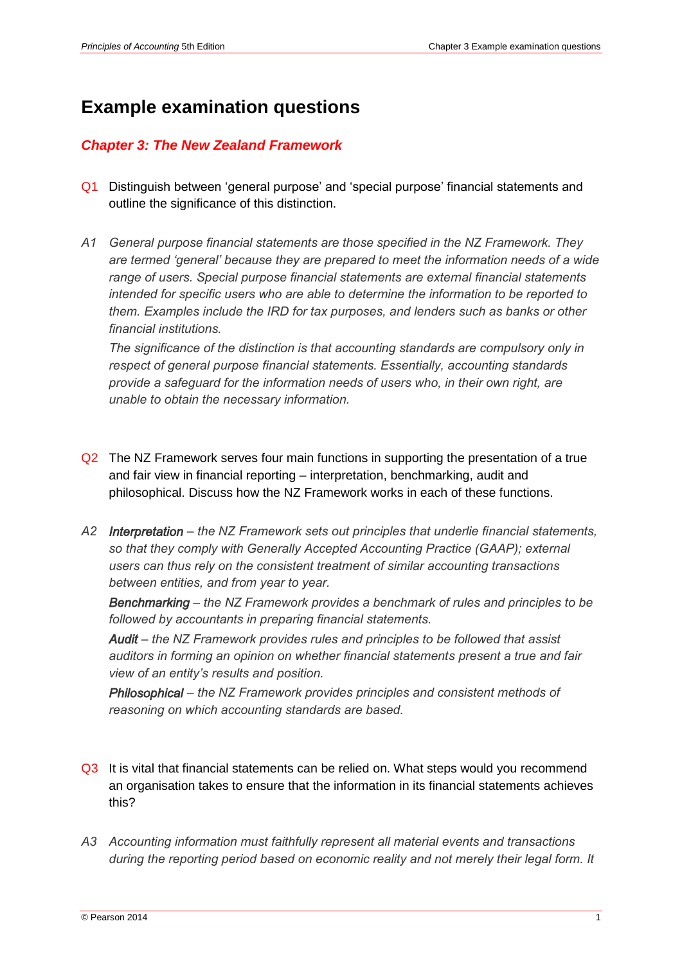## **Example examination questions**

## *Chapter 3: The New Zealand Framework*

- Q1 Distinguish between 'general purpose' and 'special purpose' financial statements and outline the significance of this distinction.
- *A1 General purpose financial statements are those specified in the NZ Framework. They are termed 'general' because they are prepared to meet the information needs of a wide range of users. Special purpose financial statements are external financial statements intended for specific users who are able to determine the information to be reported to them. Examples include the IRD for tax purposes, and lenders such as banks or other financial institutions.*

*The significance of the distinction is that accounting standards are compulsory only in respect of general purpose financial statements. Essentially, accounting standards provide a safeguard for the information needs of users who, in their own right, are unable to obtain the necessary information.*

- Q2 The NZ Framework serves four main functions in supporting the presentation of a true and fair view in financial reporting – interpretation, benchmarking, audit and philosophical. Discuss how the NZ Framework works in each of these functions.
- *A2 Interpretation – the NZ Framework sets out principles that underlie financial statements,*  so that they comply with Generally Accepted Accounting Practice (GAAP); external *users can thus rely on the consistent treatment of similar accounting transactions between entities, and from year to year.*

*Benchmarking – the NZ Framework provides a benchmark of rules and principles to be followed by accountants in preparing financial statements.*

*Audit – the NZ Framework provides rules and principles to be followed that assist auditors in forming an opinion on whether financial statements present a true and fair view of an entity's results and position.*

*Philosophical – the NZ Framework provides principles and consistent methods of reasoning on which accounting standards are based.*

- Q3 It is vital that financial statements can be relied on. What steps would you recommend an organisation takes to ensure that the information in its financial statements achieves this?
- *A3 Accounting information must faithfully represent all material events and transactions during the reporting period based on economic reality and not merely their legal form. It*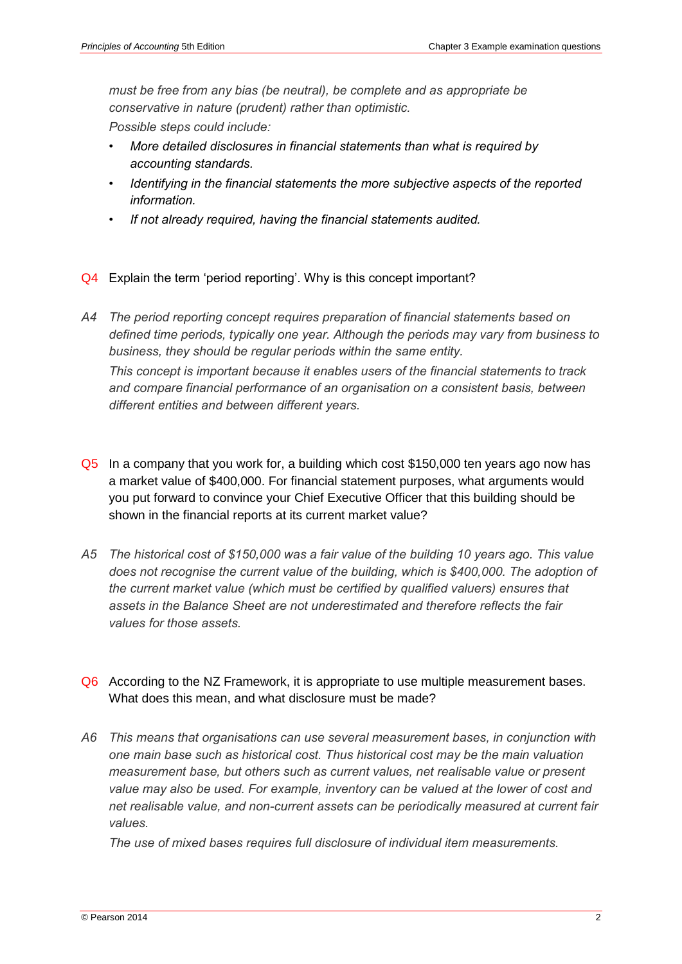*must be free from any bias (be neutral), be complete and as appropriate be conservative in nature (prudent) rather than optimistic.*

*Possible steps could include:*

- *• More detailed disclosures in financial statements than what is required by accounting standards.*
- *• Identifying in the financial statements the more subjective aspects of the reported information.*
- *• If not already required, having the financial statements audited.*
- Q4 Explain the term 'period reporting'. Why is this concept important?
- *A4 The period reporting concept requires preparation of financial statements based on defined time periods, typically one year. Although the periods may vary from business to business, they should be regular periods within the same entity. This concept is important because it enables users of the financial statements to track and compare financial performance of an organisation on a consistent basis, between different entities and between different years.*
- Q5 In a company that you work for, a building which cost \$150,000 ten years ago now has a market value of \$400,000. For financial statement purposes, what arguments would you put forward to convince your Chief Executive Officer that this building should be shown in the financial reports at its current market value?
- *A5 The historical cost of \$150,000 was a fair value of the building 10 years ago. This value does not recognise the current value of the building, which is \$400,000. The adoption of the current market value (which must be certified by qualified valuers) ensures that assets in the Balance Sheet are not underestimated and therefore reflects the fair values for those assets.*
- Q6 According to the NZ Framework, it is appropriate to use multiple measurement bases. What does this mean, and what disclosure must be made?
- *A6 This means that organisations can use several measurement bases, in conjunction with one main base such as historical cost. Thus historical cost may be the main valuation measurement base, but others such as current values, net realisable value or present value may also be used. For example, inventory can be valued at the lower of cost and net realisable value, and non-current assets can be periodically measured at current fair values.*

*The use of mixed bases requires full disclosure of individual item measurements.*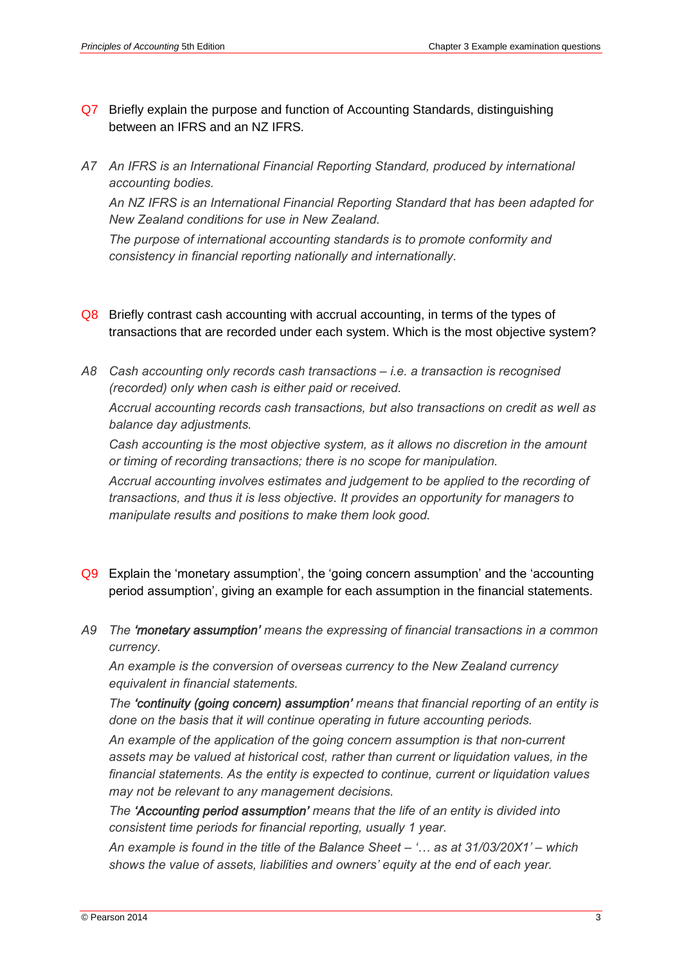- Q7 Briefly explain the purpose and function of Accounting Standards, distinguishing between an IFRS and an NZ IFRS.
- *A7 An IFRS is an International Financial Reporting Standard, produced by international accounting bodies.*

*An NZ IFRS is an International Financial Reporting Standard that has been adapted for New Zealand conditions for use in New Zealand.*

*The purpose of international accounting standards is to promote conformity and consistency in financial reporting nationally and internationally.*

- Q8 Briefly contrast cash accounting with accrual accounting, in terms of the types of transactions that are recorded under each system. Which is the most objective system?
- *A8 Cash accounting only records cash transactions – i.e. a transaction is recognised (recorded) only when cash is either paid or received. Accrual accounting records cash transactions, but also transactions on credit as well as balance day adjustments.*

*Cash accounting is the most objective system, as it allows no discretion in the amount or timing of recording transactions; there is no scope for manipulation.*

*Accrual accounting involves estimates and judgement to be applied to the recording of transactions, and thus it is less objective. It provides an opportunity for managers to manipulate results and positions to make them look good.*

- Q9 Explain the 'monetary assumption', the 'going concern assumption' and the 'accounting period assumption', giving an example for each assumption in the financial statements.
- *A9 The 'monetary assumption' means the expressing of financial transactions in a common currency.*

*An example is the conversion of overseas currency to the New Zealand currency equivalent in financial statements.* 

*The 'continuity (going concern) assumption' means that financial reporting of an entity is done on the basis that it will continue operating in future accounting periods.* 

*An example of the application of the going concern assumption is that non-current assets may be valued at historical cost, rather than current or liquidation values, in the financial statements. As the entity is expected to continue, current or liquidation values may not be relevant to any management decisions.*

*The 'Accounting period assumption' means that the life of an entity is divided into consistent time periods for financial reporting, usually 1 year.* 

*An example is found in the title of the Balance Sheet – '… as at 31/03/20X1' – which shows the value of assets, liabilities and owners' equity at the end of each year.*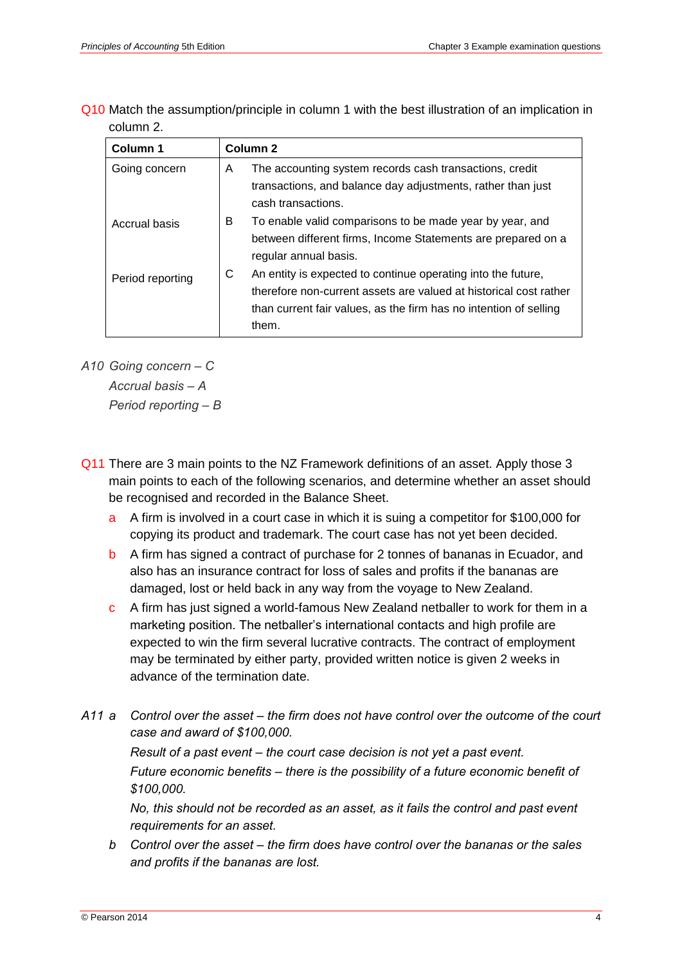Q10 Match the assumption/principle in column 1 with the best illustration of an implication in column 2.

| Column 1         | Column <sub>2</sub>                                                                                                                                                                                                  |  |
|------------------|----------------------------------------------------------------------------------------------------------------------------------------------------------------------------------------------------------------------|--|
| Going concern    | The accounting system records cash transactions, credit<br>A<br>transactions, and balance day adjustments, rather than just<br>cash transactions.                                                                    |  |
| Accrual basis    | B<br>To enable valid comparisons to be made year by year, and<br>between different firms, Income Statements are prepared on a<br>regular annual basis.                                                               |  |
| Period reporting | C<br>An entity is expected to continue operating into the future,<br>therefore non-current assets are valued at historical cost rather<br>than current fair values, as the firm has no intention of selling<br>them. |  |

*A10 Going concern – C Accrual basis – A Period reporting – B*

- Q11 There are 3 main points to the NZ Framework definitions of an asset. Apply those 3 main points to each of the following scenarios, and determine whether an asset should be recognised and recorded in the Balance Sheet.
	- a A firm is involved in a court case in which it is suing a competitor for \$100,000 for copying its product and trademark. The court case has not yet been decided.
	- b A firm has signed a contract of purchase for 2 tonnes of bananas in Ecuador, and also has an insurance contract for loss of sales and profits if the bananas are damaged, lost or held back in any way from the voyage to New Zealand.
	- c A firm has just signed a world-famous New Zealand netballer to work for them in a marketing position. The netballer's international contacts and high profile are expected to win the firm several lucrative contracts. The contract of employment may be terminated by either party, provided written notice is given 2 weeks in advance of the termination date.
- *A11 a Control over the asset – the firm does not have control over the outcome of the court case and award of \$100,000. Result of a past event – the court case decision is not yet a past event. Future economic benefits – there is the possibility of a future economic benefit of \$100,000.*

*No, this should not be recorded as an asset, as it fails the control and past event requirements for an asset.*

*b Control over the asset – the firm does have control over the bananas or the sales and profits if the bananas are lost.*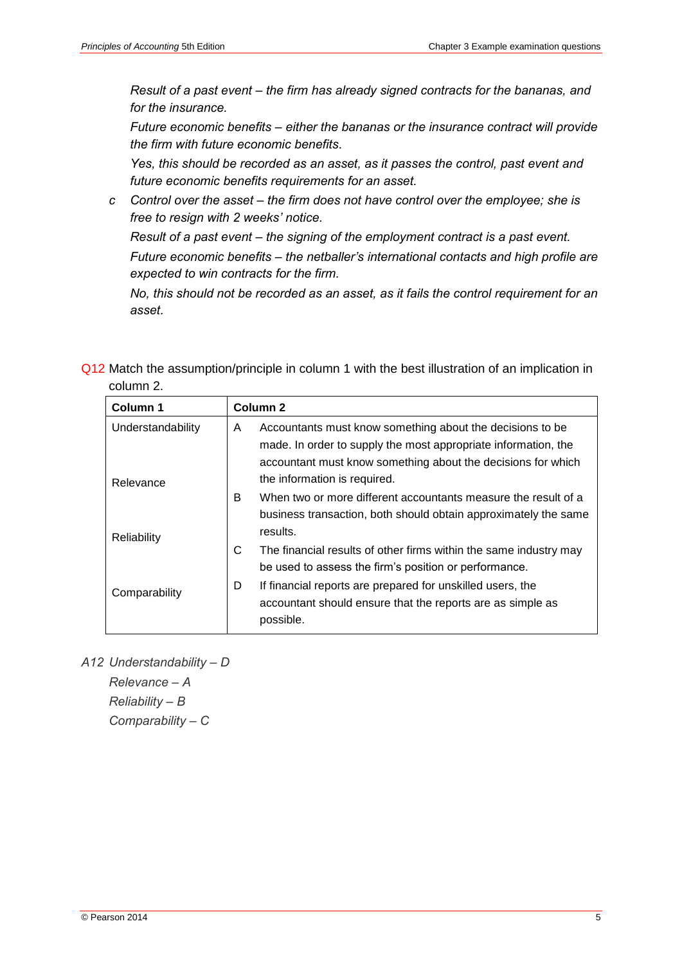*Result of a past event – the firm has already signed contracts for the bananas, and for the insurance.*

*Future economic benefits – either the bananas or the insurance contract will provide the firm with future economic benefits.*

*Yes, this should be recorded as an asset, as it passes the control, past event and future economic benefits requirements for an asset.*

*c Control over the asset – the firm does not have control over the employee; she is free to resign with 2 weeks' notice.*

*Result of a past event – the signing of the employment contract is a past event. Future economic benefits – the netballer's international contacts and high profile are expected to win contracts for the firm.*

*No, this should not be recorded as an asset, as it fails the control requirement for an asset.*

Q12 Match the assumption/principle in column 1 with the best illustration of an implication in column 2.

| Column 1          | Column <sub>2</sub> |                                                                   |  |
|-------------------|---------------------|-------------------------------------------------------------------|--|
| Understandability | A                   | Accountants must know something about the decisions to be         |  |
|                   |                     | made. In order to supply the most appropriate information, the    |  |
|                   |                     | accountant must know something about the decisions for which      |  |
| Relevance         |                     | the information is required.                                      |  |
|                   | B                   | When two or more different accountants measure the result of a    |  |
|                   |                     | business transaction, both should obtain approximately the same   |  |
| Reliability       |                     | results.                                                          |  |
|                   | С                   | The financial results of other firms within the same industry may |  |
|                   |                     | be used to assess the firm's position or performance.             |  |
| Comparability     | D                   | If financial reports are prepared for unskilled users, the        |  |
|                   |                     | accountant should ensure that the reports are as simple as        |  |
|                   |                     | possible.                                                         |  |

*A12 Understandability – D Relevance – A Reliability – B Comparability – C*